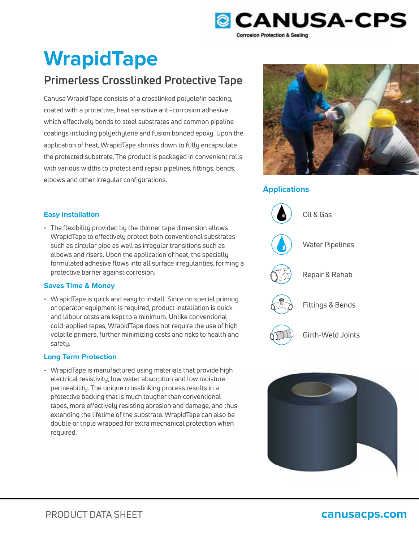

# **WrapidTape**

## **Primerless Crosslinked Protective Tape**

Canusa WrapidTape consists of a crosslinked polyolefin backing, coated with a protective, heat sensitive anti-corrosion adhesive which effectively bonds to steel substrates and common pipeline coatings including polyethylene and fusion bonded epoxy. Upon the application of heat, WrapidTape shrinks down to fully encapsulate the protected substrate. The product is packaged in convenient rolls with various widths to protect and repair pipelines, fittings, bends, elbows and other irregular configurations.



### **Applications**



### **Easy Installation**

• The flexibility provided by the thinner tape dimension allows WrapidTape to effectively protect both conventional substrates such as circular pipe as well as irregular transitions such as elbows and risers. Upon the application of heat, the specially formulated adhesive flows into all surface irregularities, forming a protective barrier against corrosion.

#### **Saves Time & Money**

• WrapidTape is quick and easy to install. Since no special priming or operator equipment is required, product installation is quick and labour costs are kept to a minimum. Unlike conventional cold-applied tapes, WrapidTape does not require the use of high volatile primers, further minimizing costs and risks to health and safety.

#### **Long Term Protection**

• WrapidTape is manufactured using materials that provide high electrical resistivity, low water absorption and low moisture<br>permeability. The unique crosslinking process results in a<br>protective backing that is much tougher than conventional permeability. The unique crosslinking process results in a protective backing that is much tougher than conventional tapes, more effectively resisting abrasion and damage, and thus tapes, more effectively resisting abrasion and damage, and thus<br>extending the lifetime of the substrate. WrapidTape can also be double or triple wrapped for extra mechanical protection when required.